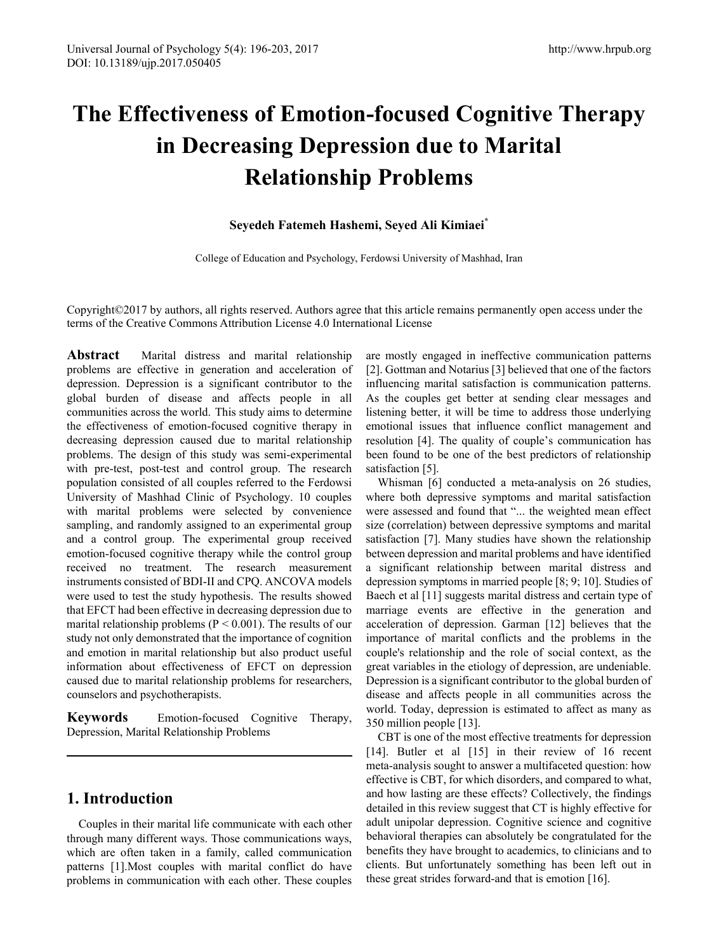# **The Effectiveness of Emotion-focused Cognitive Therapy in Decreasing Depression due to Marital Relationship Problems**

### **Seyedeh Fatemeh Hashemi, Seyed Ali Kimiaei\***

College of Education and Psychology, Ferdowsi University of Mashhad, Iran

Copyright©2017 by authors, all rights reserved. Authors agree that this article remains permanently open access under the terms of the Creative Commons Attribution License 4.0 International License

**Abstract** Marital distress and marital relationship problems are effective in generation and acceleration of depression. Depression is a significant contributor to the global burden of disease and affects people in all communities across the world. This study aims to determine the effectiveness of emotion-focused cognitive therapy in decreasing depression caused due to marital relationship problems. The design of this study was semi-experimental with pre-test, post-test and control group. The research population consisted of all couples referred to the Ferdowsi University of Mashhad Clinic of Psychology. 10 couples with marital problems were selected by convenience sampling, and randomly assigned to an experimental group and a control group. The experimental group received emotion-focused cognitive therapy while the control group received no treatment. The research measurement instruments consisted of BDI-II and CPQ. ANCOVA models were used to test the study hypothesis. The results showed that EFCT had been effective in decreasing depression due to marital relationship problems ( $P \le 0.001$ ). The results of our study not only demonstrated that the importance of cognition and emotion in marital relationship but also product useful information about effectiveness of EFCT on depression caused due to marital relationship problems for researchers, counselors and psychotherapists.

**Keywords** Emotion-focused Cognitive Therapy, Depression, Marital Relationship Problems

## **1. Introduction**

Couples in their marital life communicate with each other through many different ways. Those communications ways, which are often taken in a family, called communication patterns [1].Most couples with marital conflict do have problems in communication with each other. These couples are mostly engaged in ineffective communication patterns [2]. Gottman and Notarius [3] believed that one of the factors influencing marital satisfaction is communication patterns. As the couples get better at sending clear messages and listening better, it will be time to address those underlying emotional issues that influence conflict management and resolution [4]. The quality of couple's communication has been found to be one of the best predictors of relationship satisfaction [5].

Whisman [6] conducted a meta-analysis on 26 studies, where both depressive symptoms and marital satisfaction were assessed and found that "... the weighted mean effect size (correlation) between depressive symptoms and marital satisfaction [7]. Many studies have shown the relationship between depression and marital problems and have identified a significant relationship between marital distress and depression symptoms in married people [8; 9; 10]. Studies of Baech et al [11] suggests marital distress and certain type of marriage events are effective in the generation and acceleration of depression. Garman [12] believes that the importance of marital conflicts and the problems in the couple's relationship and the role of social context, as the great variables in the etiology of depression, are undeniable. Depression is a significant contributor to the global burden of disease and affects people in all communities across the world. Today, depression is estimated to affect as many as 350 million people [13].

CBT is one of the most effective treatments for depression [14]. Butler et al [15] in their review of 16 recent meta-analysis sought to answer a multifaceted question: how effective is CBT, for which disorders, and compared to what, and how lasting are these effects? Collectively, the findings detailed in this review suggest that CT is highly effective for adult unipolar depression. Cognitive science and cognitive behavioral therapies can absolutely be congratulated for the benefits they have brought to academics, to clinicians and to clients. But unfortunately something has been left out in these great strides forward-and that is emotion [16].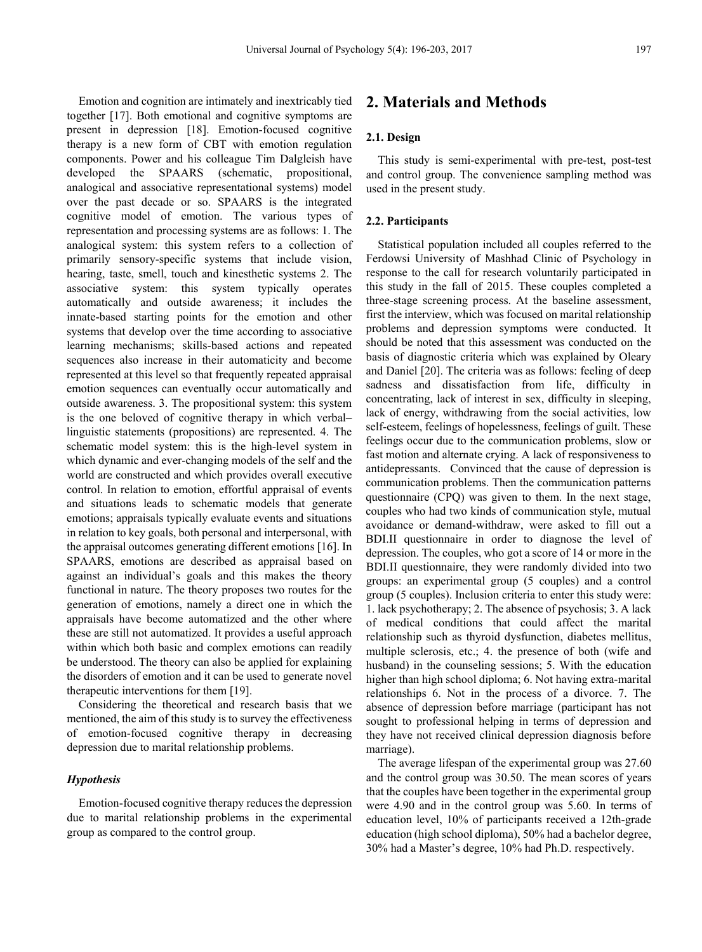Emotion and cognition are intimately and inextricably tied together [17]. Both emotional and cognitive symptoms are present in depression [18]. Emotion-focused cognitive therapy is a new form of CBT with emotion regulation components. Power and his colleague Tim Dalgleish have developed the SPAARS (schematic, propositional, analogical and associative representational systems) model over the past decade or so. SPAARS is the integrated cognitive model of emotion. The various types of representation and processing systems are as follows: 1. The analogical system: this system refers to a collection of primarily sensory-specific systems that include vision, hearing, taste, smell, touch and kinesthetic systems 2. The associative system: this system typically operates automatically and outside awareness; it includes the innate-based starting points for the emotion and other systems that develop over the time according to associative learning mechanisms; skills-based actions and repeated sequences also increase in their automaticity and become represented at this level so that frequently repeated appraisal emotion sequences can eventually occur automatically and outside awareness. 3. The propositional system: this system is the one beloved of cognitive therapy in which verbal– linguistic statements (propositions) are represented. 4. The schematic model system: this is the high-level system in which dynamic and ever-changing models of the self and the world are constructed and which provides overall executive control. In relation to emotion, effortful appraisal of events and situations leads to schematic models that generate emotions; appraisals typically evaluate events and situations in relation to key goals, both personal and interpersonal, with the appraisal outcomes generating different emotions [16]. In SPAARS, emotions are described as appraisal based on against an individual's goals and this makes the theory functional in nature. The theory proposes two routes for the generation of emotions, namely a direct one in which the appraisals have become automatized and the other where these are still not automatized. It provides a useful approach within which both basic and complex emotions can readily be understood. The theory can also be applied for explaining the disorders of emotion and it can be used to generate novel therapeutic interventions for them [19].

Considering the theoretical and research basis that we mentioned, the aim of this study is to survey the effectiveness of emotion-focused cognitive therapy in decreasing depression due to marital relationship problems.

#### *Hypothesis*

Emotion-focused cognitive therapy reduces the depression due to marital relationship problems in the experimental group as compared to the control group.

# **2. Materials and Methods**

#### **2.1. Design**

This study is semi-experimental with pre-test, post-test and control group. The convenience sampling method was used in the present study.

#### **2.2. Participants**

Statistical population included all couples referred to the Ferdowsi University of Mashhad Clinic of Psychology in response to the call for research voluntarily participated in this study in the fall of 2015. These couples completed a three-stage screening process. At the baseline assessment, first the interview, which was focused on marital relationship problems and depression symptoms were conducted. It should be noted that this assessment was conducted on the basis of diagnostic criteria which was explained by Oleary and Daniel [20]. The criteria was as follows: feeling of deep sadness and dissatisfaction from life, difficulty in concentrating, lack of interest in sex, difficulty in sleeping, lack of energy, withdrawing from the social activities, low self-esteem, feelings of hopelessness, feelings of guilt. These feelings occur due to the communication problems, slow or fast motion and alternate crying. A lack of responsiveness to antidepressants. Convinced that the cause of depression is communication problems. Then the communication patterns questionnaire (CPQ) was given to them. In the next stage, couples who had two kinds of communication style, mutual avoidance or demand-withdraw, were asked to fill out a BDI.II questionnaire in order to diagnose the level of depression. The couples, who got a score of 14 or more in the BDI.II questionnaire, they were randomly divided into two groups: an experimental group (5 couples) and a control group (5 couples). Inclusion criteria to enter this study were: 1. lack psychotherapy; 2. The absence of psychosis; 3. A lack of medical conditions that could affect the marital relationship such as thyroid dysfunction, diabetes mellitus, multiple sclerosis, etc.; 4. the presence of both (wife and husband) in the counseling sessions; 5. With the education higher than high school diploma; 6. Not having extra-marital relationships 6. Not in the process of a divorce. 7. The absence of depression before marriage (participant has not sought to professional helping in terms of depression and they have not received clinical depression diagnosis before marriage).

The average lifespan of the experimental group was 27.60 and the control group was 30.50. The mean scores of years that the couples have been together in the experimental group were 4.90 and in the control group was 5.60. In terms of education level, 10% of participants received a 12th-grade education (high school diploma), 50% had a bachelor degree, 30% had a Master's degree, 10% had Ph.D. respectively.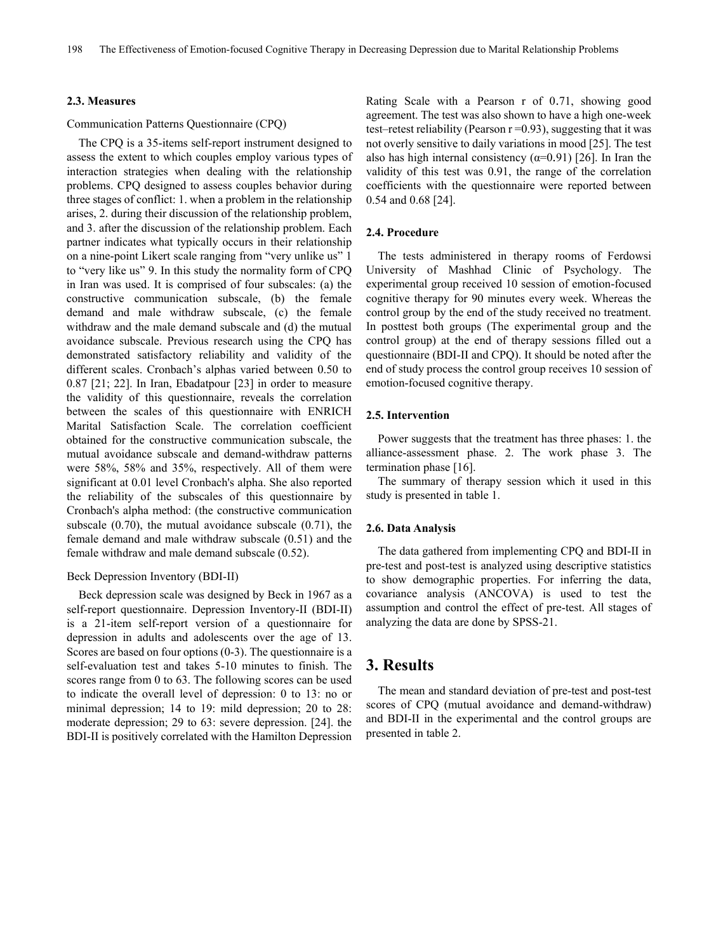#### **2.3. Measures**

#### Communication Patterns Questionnaire (CPQ)

The CPQ is a 35-items self-report instrument designed to assess the extent to which couples employ various types of interaction strategies when dealing with the relationship problems. CPQ designed to assess couples behavior during three stages of conflict: 1. when a problem in the relationship arises, 2. during their discussion of the relationship problem, and 3. after the discussion of the relationship problem. Each partner indicates what typically occurs in their relationship on a nine-point Likert scale ranging from "very unlike us" 1 to "very like us" 9. In this study the normality form of CPQ in Iran was used. It is comprised of four subscales: (a) the constructive communication subscale, (b) the female demand and male withdraw subscale, (c) the female withdraw and the male demand subscale and (d) the mutual avoidance subscale. Previous research using the CPQ has demonstrated satisfactory reliability and validity of the different scales. Cronbach's alphas varied between 0.50 to 0.87 [21; 22]. In Iran, Ebadatpour [23] in order to measure the validity of this questionnaire, reveals the correlation between the scales of this questionnaire with ENRICH Marital Satisfaction Scale. The correlation coefficient obtained for the constructive communication subscale, the mutual avoidance subscale and demand-withdraw patterns were 58%, 58% and 35%, respectively. All of them were significant at 0.01 level Cronbach's alpha. She also reported the reliability of the subscales of this questionnaire by Cronbach's alpha method: (the constructive communication subscale (0.70), the mutual avoidance subscale (0.71), the female demand and male withdraw subscale (0.51) and the female withdraw and male demand subscale (0.52).

#### Beck Depression Inventory (BDI-II)

Beck depression scale was designed by Beck in 1967 as a self-report questionnaire. Depression Inventory-II (BDI-II) is a 21-item self-report version of a questionnaire for depression in adults and adolescents over the age of 13. Scores are based on four options (0-3). The questionnaire is a self-evaluation test and takes 5-10 minutes to finish. The scores range from 0 to 63. The following scores can be used to indicate the overall level of depression: 0 to 13: no or minimal depression; 14 to 19: mild depression; 20 to 28: moderate depression; 29 to 63: severe depression. [24]. the BDI-II is positively correlated with the Hamilton Depression

Rating Scale with a Pearson r of 0.71, showing good agreement. The test was also shown to have a high one-week test–retest reliability (Pearson  $r = 0.93$ ), suggesting that it was not overly sensitive to daily variations in mood [25]. The test also has high internal consistency ( $\alpha$ =0.91) [26]. In Iran the validity of this test was 0.91, the range of the correlation coefficients with the questionnaire were reported between 0.54 and 0.68 [24].

#### **2.4. Procedure**

The tests administered in therapy rooms of Ferdowsi University of Mashhad Clinic of Psychology. The experimental group received 10 session of emotion-focused cognitive therapy for 90 minutes every week. Whereas the control group by the end of the study received no treatment. In posttest both groups (The experimental group and the control group) at the end of therapy sessions filled out a questionnaire (BDI-II and CPQ). It should be noted after the end of study process the control group receives 10 session of emotion-focused cognitive therapy.

#### **2.5. Intervention**

Power suggests that the treatment has three phases: 1. the alliance-assessment phase. 2. The work phase 3. The termination phase [16].

The summary of therapy session which it used in this study is presented in table 1.

#### **2.6. Data Analysis**

The data gathered from implementing CPQ and BDI-II in pre-test and post-test is analyzed using descriptive statistics to show demographic properties. For inferring the data, covariance analysis (ANCOVA) is used to test the assumption and control the effect of pre-test. All stages of analyzing the data are done by SPSS-21.

## **3. Results**

The mean and standard deviation of pre-test and post-test scores of CPQ (mutual avoidance and demand-withdraw) and BDI-II in the experimental and the control groups are presented in table 2.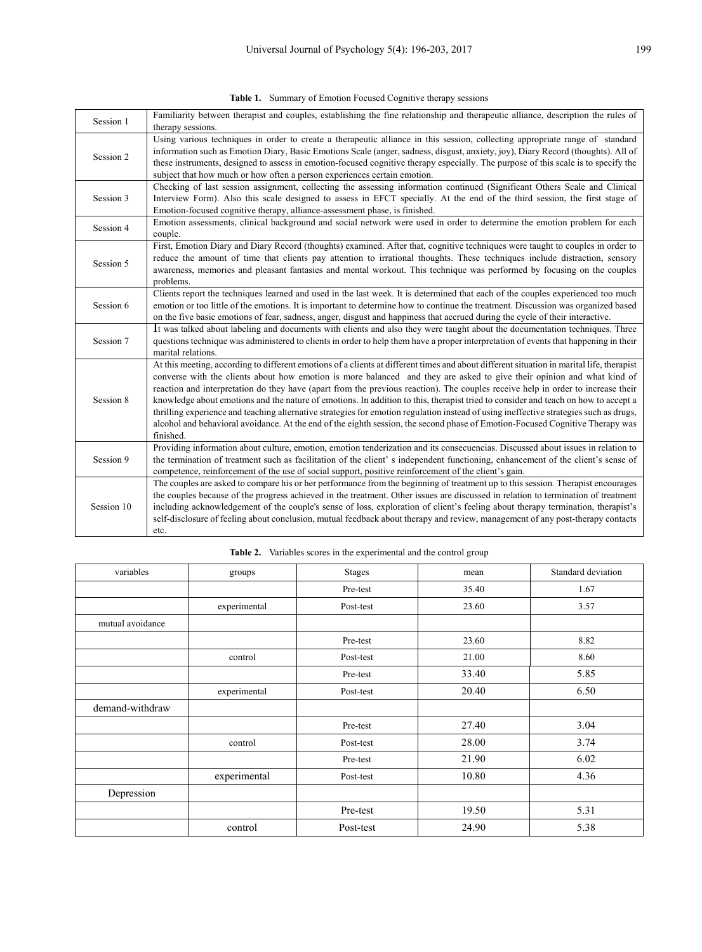| Session 1  | Familiarity between therapist and couples, establishing the fine relationship and therapeutic alliance, description the rules of<br>therapy sessions.                                                                                                                                                                                                                                                                                                                                                                                                                                                                                                                                                                                                                                                                                 |
|------------|---------------------------------------------------------------------------------------------------------------------------------------------------------------------------------------------------------------------------------------------------------------------------------------------------------------------------------------------------------------------------------------------------------------------------------------------------------------------------------------------------------------------------------------------------------------------------------------------------------------------------------------------------------------------------------------------------------------------------------------------------------------------------------------------------------------------------------------|
| Session 2  | Using various techniques in order to create a therapeutic alliance in this session, collecting appropriate range of standard<br>information such as Emotion Diary, Basic Emotions Scale (anger, sadness, disgust, anxiety, joy), Diary Record (thoughts). All of<br>these instruments, designed to assess in emotion-focused cognitive therapy especially. The purpose of this scale is to specify the<br>subject that how much or how often a person experiences certain emotion.                                                                                                                                                                                                                                                                                                                                                    |
| Session 3  | Checking of last session assignment, collecting the assessing information continued (Significant Others Scale and Clinical<br>Interview Form). Also this scale designed to assess in EFCT specially. At the end of the third session, the first stage of<br>Emotion-focused cognitive therapy, alliance-assessment phase, is finished.                                                                                                                                                                                                                                                                                                                                                                                                                                                                                                |
| Session 4  | Emotion assessments, clinical background and social network were used in order to determine the emotion problem for each<br>couple.                                                                                                                                                                                                                                                                                                                                                                                                                                                                                                                                                                                                                                                                                                   |
| Session 5  | First, Emotion Diary and Diary Record (thoughts) examined. After that, cognitive techniques were taught to couples in order to<br>reduce the amount of time that clients pay attention to irrational thoughts. These techniques include distraction, sensory<br>awareness, memories and pleasant fantasies and mental workout. This technique was performed by focusing on the couples<br>problems.                                                                                                                                                                                                                                                                                                                                                                                                                                   |
| Session 6  | Clients report the techniques learned and used in the last week. It is determined that each of the couples experienced too much<br>emotion or too little of the emotions. It is important to determine how to continue the treatment. Discussion was organized based<br>on the five basic emotions of fear, sadness, anger, disgust and happiness that accrued during the cycle of their interactive.                                                                                                                                                                                                                                                                                                                                                                                                                                 |
| Session 7  | It was talked about labeling and documents with clients and also they were taught about the documentation techniques. Three<br>questions technique was administered to clients in order to help them have a proper interpretation of events that happening in their<br>marital relations.                                                                                                                                                                                                                                                                                                                                                                                                                                                                                                                                             |
| Session 8  | At this meeting, according to different emotions of a clients at different times and about different situation in marital life, therapist<br>converse with the clients about how emotion is more balanced and they are asked to give their opinion and what kind of<br>reaction and interpretation do they have (apart from the previous reaction). The couples receive help in order to increase their<br>knowledge about emotions and the nature of emotions. In addition to this, therapist tried to consider and teach on how to accept a<br>thrilling experience and teaching alternative strategies for emotion regulation instead of using ineffective strategies such as drugs,<br>alcohol and behavioral avoidance. At the end of the eighth session, the second phase of Emotion-Focused Cognitive Therapy was<br>finished. |
| Session 9  | Providing information about culture, emotion, emotion tenderization and its consecuencias. Discussed about issues in relation to<br>the termination of treatment such as facilitation of the client' s independent functioning, enhancement of the client's sense of<br>competence, reinforcement of the use of social support, positive reinforcement of the client's gain.                                                                                                                                                                                                                                                                                                                                                                                                                                                          |
| Session 10 | The couples are asked to compare his or her performance from the beginning of treatment up to this session. Therapist encourages<br>the couples because of the progress achieved in the treatment. Other issues are discussed in relation to termination of treatment<br>including acknowledgement of the couple's sense of loss, exploration of client's feeling about therapy termination, therapist's<br>self-disclosure of feeling about conclusion, mutual feedback about therapy and review, management of any post-therapy contacts<br>etc.                                                                                                                                                                                                                                                                                    |

| variables        | groups       | <b>Stages</b> | mean  | Standard deviation |
|------------------|--------------|---------------|-------|--------------------|
|                  |              | Pre-test      | 35.40 | 1.67               |
|                  | experimental | Post-test     | 23.60 | 3.57               |
| mutual avoidance |              |               |       |                    |
|                  |              | Pre-test      | 23.60 | 8.82               |
|                  | control      | Post-test     | 21.00 | 8.60               |
|                  |              | Pre-test      | 33.40 | 5.85               |
|                  | experimental | Post-test     | 20.40 | 6.50               |
| demand-withdraw  |              |               |       |                    |
|                  |              | Pre-test      | 27.40 | 3.04               |
|                  | control      | Post-test     | 28.00 | 3.74               |
|                  |              | Pre-test      | 21.90 | 6.02               |
|                  | experimental | Post-test     | 10.80 | 4.36               |
| Depression       |              |               |       |                    |
|                  |              | Pre-test      | 19.50 | 5.31               |
|                  | control      | Post-test     | 24.90 | 5.38               |

**Table 2.** Variables scores in the experimental and the control group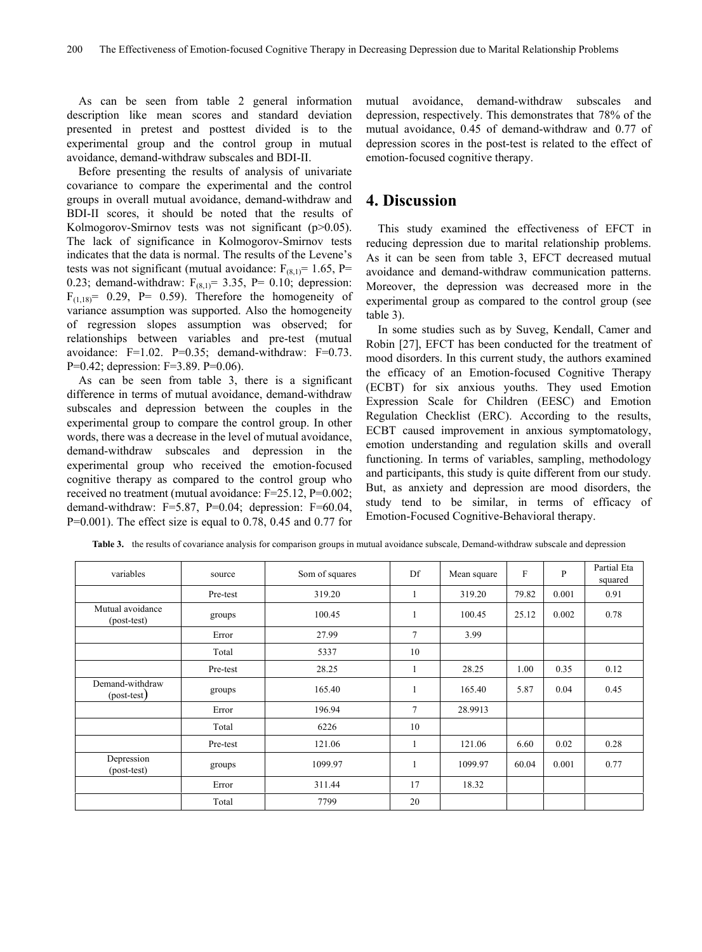As can be seen from table 2 general information description like mean scores and standard deviation presented in pretest and posttest divided is to the experimental group and the control group in mutual avoidance, demand-withdraw subscales and BDI-II.

Before presenting the results of analysis of univariate covariance to compare the experimental and the control groups in overall mutual avoidance, demand-withdraw and BDI-II scores, it should be noted that the results of Kolmogorov-Smirnov tests was not significant (p>0.05). The lack of significance in Kolmogorov-Smirnov tests indicates that the data is normal. The results of the Levene's tests was not significant (mutual avoidance:  $F_{(8,1)} = 1.65$ , P= 0.23; demand-withdraw:  $F_{(8,1)} = 3.35$ , P= 0.10; depression:  $F_{(1,18)} = 0.29$ , P= 0.59). Therefore the homogeneity of variance assumption was supported. Also the homogeneity of regression slopes assumption was observed; for relationships between variables and pre-test (mutual avoidance: F=1.02. P=0.35; demand-withdraw: F=0.73. P=0.42; depression: F=3.89. P=0.06).

As can be seen from table 3, there is a significant difference in terms of mutual avoidance, demand-withdraw subscales and depression between the couples in the experimental group to compare the control group. In other words, there was a decrease in the level of mutual avoidance, demand-withdraw subscales and depression in the experimental group who received the emotion-focused cognitive therapy as compared to the control group who received no treatment (mutual avoidance: F=25.12, P=0.002; demand-withdraw:  $F=5.87$ ,  $P=0.04$ ; depression:  $F=60.04$ , P=0.001). The effect size is equal to 0.78, 0.45 and 0.77 for mutual avoidance, demand-withdraw subscales and depression, respectively. This demonstrates that 78% of the mutual avoidance, 0.45 of demand-withdraw and 0.77 of depression scores in the post-test is related to the effect of emotion-focused cognitive therapy.

## **4. Discussion**

This study examined the effectiveness of EFCT in reducing depression due to marital relationship problems. As it can be seen from table 3, EFCT decreased mutual avoidance and demand-withdraw communication patterns. Moreover, the depression was decreased more in the experimental group as compared to the control group (see table 3).

In some studies such as by Suveg, Kendall, Camer and Robin [27], EFCT has been conducted for the treatment of mood disorders. In this current study, the authors examined the efficacy of an Emotion-focused Cognitive Therapy (ECBT) for six anxious youths. They used Emotion Expression Scale for Children (EESC) and Emotion Regulation Checklist (ERC). According to the results, ECBT caused improvement in anxious symptomatology, emotion understanding and regulation skills and overall functioning. In terms of variables, sampling, methodology and participants, this study is quite different from our study. But, as anxiety and depression are mood disorders, the study tend to be similar, in terms of efficacy of Emotion-Focused Cognitive-Behavioral therapy.

| variables                        | source   | Som of squares | Df           | Mean square | F     | P     | Partial Eta<br>squared |
|----------------------------------|----------|----------------|--------------|-------------|-------|-------|------------------------|
|                                  | Pre-test | 319.20         |              | 319.20      | 79.82 | 0.001 | 0.91                   |
| Mutual avoidance<br>(post-test)  | groups   | 100.45         |              | 100.45      | 25.12 | 0.002 | 0.78                   |
|                                  | Error    | 27.99          | 7            | 3.99        |       |       |                        |
|                                  | Total    | 5337           | 10           |             |       |       |                        |
|                                  | Pre-test | 28.25          |              | 28.25       | 1.00  | 0.35  | 0.12                   |
| Demand-withdraw<br>$-post-test)$ | groups   | 165.40         | $\mathbf{1}$ | 165.40      | 5.87  | 0.04  | 0.45                   |
|                                  | Error    | 196.94         | $\tau$       | 28.9913     |       |       |                        |
|                                  | Total    | 6226           | 10           |             |       |       |                        |
|                                  | Pre-test | 121.06         |              | 121.06      | 6.60  | 0.02  | 0.28                   |
| Depression<br>(post-test)        | groups   | 1099.97        |              | 1099.97     | 60.04 | 0.001 | 0.77                   |
|                                  | Error    | 311.44         | 17           | 18.32       |       |       |                        |
|                                  | Total    | 7799           | 20           |             |       |       |                        |

**Table 3.** the results of covariance analysis for comparison groups in mutual avoidance subscale, Demand-withdraw subscale and depression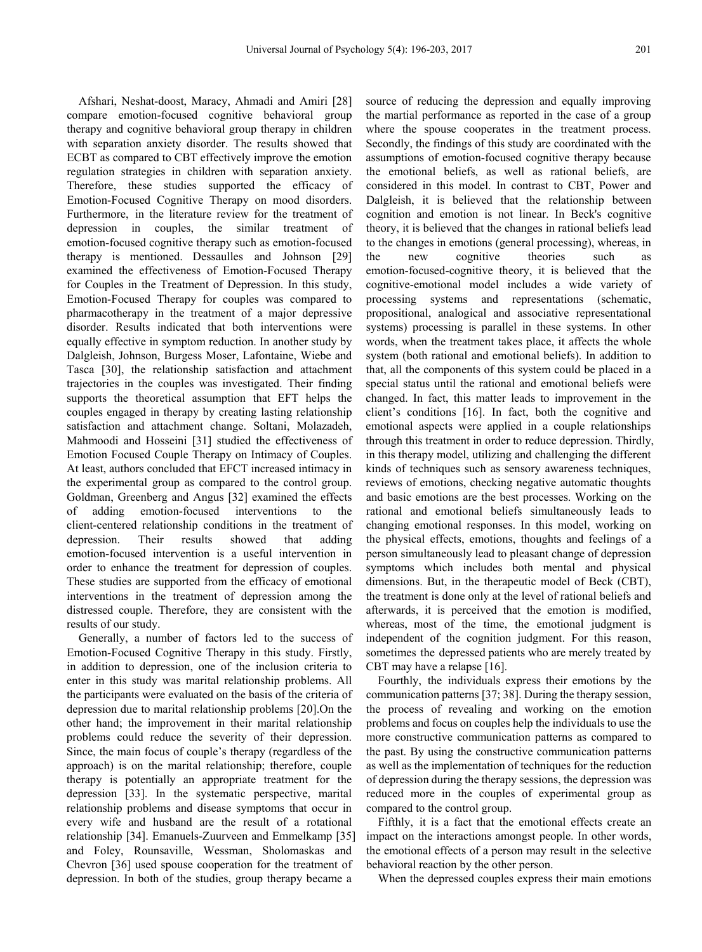Afshari, Neshat-doost, Maracy, Ahmadi and Amiri [28] compare emotion-focused cognitive behavioral group therapy and cognitive behavioral group therapy in children with separation anxiety disorder. The results showed that ECBT as compared to CBT effectively improve the emotion regulation strategies in children with separation anxiety. Therefore, these studies supported the efficacy of Emotion-Focused Cognitive Therapy on mood disorders. Furthermore, in the literature review for the treatment of depression in couples, the similar treatment of emotion-focused cognitive therapy such as emotion-focused therapy is mentioned. Dessaulles and Johnson [29] examined the effectiveness of Emotion-Focused Therapy for Couples in the Treatment of Depression. In this study, Emotion-Focused Therapy for couples was compared to pharmacotherapy in the treatment of a major depressive disorder. Results indicated that both interventions were equally effective in symptom reduction. In another study by Dalgleish, Johnson, Burgess Moser, Lafontaine, Wiebe and Tasca [30], the relationship satisfaction and attachment trajectories in the couples was investigated. Their finding supports the theoretical assumption that EFT helps the couples engaged in therapy by creating lasting relationship satisfaction and attachment change. Soltani, Molazadeh, Mahmoodi and Hosseini [31] studied the effectiveness of Emotion Focused Couple Therapy on Intimacy of Couples. At least, authors concluded that EFCT increased intimacy in the experimental group as compared to the control group. Goldman, Greenberg and Angus [32] examined the effects of adding emotion-focused interventions to the client-centered relationship conditions in the treatment of depression. Their results showed that adding emotion-focused intervention is a useful intervention in order to enhance the treatment for depression of couples. These studies are supported from the efficacy of emotional interventions in the treatment of depression among the distressed couple. Therefore, they are consistent with the results of our study.

Generally, a number of factors led to the success of Emotion-Focused Cognitive Therapy in this study. Firstly, in addition to depression, one of the inclusion criteria to enter in this study was marital relationship problems. All the participants were evaluated on the basis of the criteria of depression due to marital relationship problems [20].On the other hand; the improvement in their marital relationship problems could reduce the severity of their depression. Since, the main focus of couple's therapy (regardless of the approach) is on the marital relationship; therefore, couple therapy is potentially an appropriate treatment for the depression [33]. In the systematic perspective, marital relationship problems and disease symptoms that occur in every wife and husband are the result of a rotational relationship [34]. Emanuels-Zuurveen and Emmelkamp [35] and Foley, Rounsaville, Wessman, Sholomaskas and Chevron [36] used spouse cooperation for the treatment of depression. In both of the studies, group therapy became a

source of reducing the depression and equally improving the martial performance as reported in the case of a group where the spouse cooperates in the treatment process. Secondly, the findings of this study are coordinated with the assumptions of emotion-focused cognitive therapy because the emotional beliefs, as well as rational beliefs, are considered in this model. In contrast to CBT, Power and Dalgleish, it is believed that the relationship between cognition and emotion is not linear. In Beck's cognitive theory, it is believed that the changes in rational beliefs lead to the changes in emotions (general processing), whereas, in the new cognitive theories such as emotion-focused-cognitive theory, it is believed that the cognitive-emotional model includes a wide variety of processing systems and representations (schematic, propositional, analogical and associative representational systems) processing is parallel in these systems. In other words, when the treatment takes place, it affects the whole system (both rational and emotional beliefs). In addition to that, all the components of this system could be placed in a special status until the rational and emotional beliefs were changed. In fact, this matter leads to improvement in the client's conditions [16]. In fact, both the cognitive and emotional aspects were applied in a couple relationships through this treatment in order to reduce depression. Thirdly, in this therapy model, utilizing and challenging the different kinds of techniques such as sensory awareness techniques, reviews of emotions, checking negative automatic thoughts and basic emotions are the best processes. Working on the rational and emotional beliefs simultaneously leads to changing emotional responses. In this model, working on the physical effects, emotions, thoughts and feelings of a person simultaneously lead to pleasant change of depression symptoms which includes both mental and physical dimensions. But, in the therapeutic model of Beck (CBT), the treatment is done only at the level of rational beliefs and afterwards, it is perceived that the emotion is modified, whereas, most of the time, the emotional judgment is independent of the cognition judgment. For this reason, sometimes the depressed patients who are merely treated by CBT may have a relapse [16].

Fourthly, the individuals express their emotions by the communication patterns [37; 38]. During the therapy session, the process of revealing and working on the emotion problems and focus on couples help the individuals to use the more constructive communication patterns as compared to the past. By using the constructive communication patterns as well as the implementation of techniques for the reduction of depression during the therapy sessions, the depression was reduced more in the couples of experimental group as compared to the control group.

Fifthly, it is a fact that the emotional effects create an impact on the interactions amongst people. In other words, the emotional effects of a person may result in the selective behavioral reaction by the other person.

When the depressed couples express their main emotions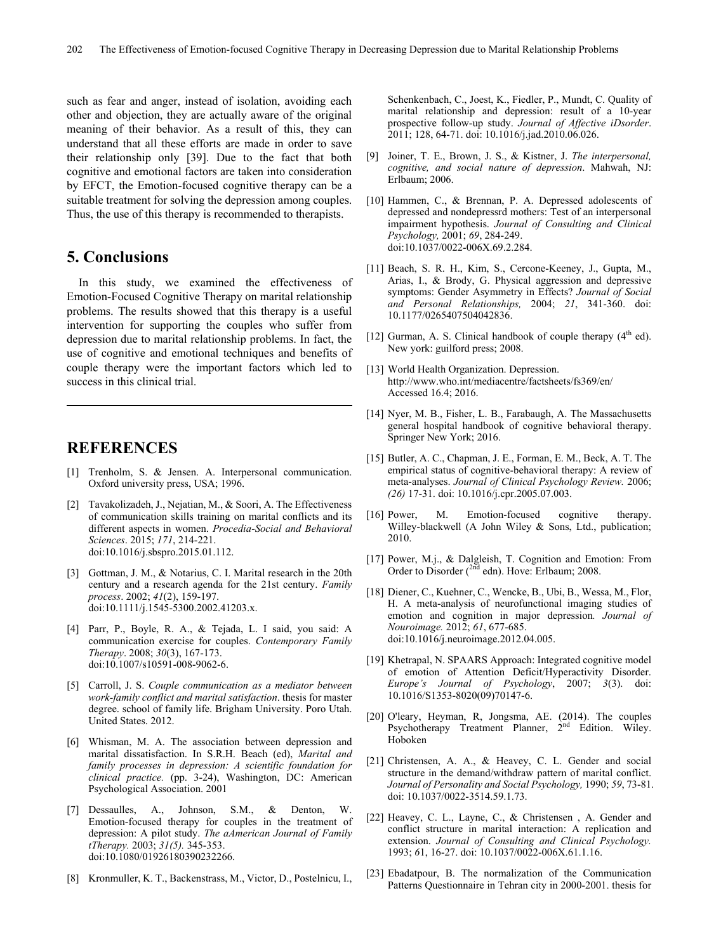such as fear and anger, instead of isolation, avoiding each other and objection, they are actually aware of the original meaning of their behavior. As a result of this, they can understand that all these efforts are made in order to save their relationship only [39]. Due to the fact that both cognitive and emotional factors are taken into consideration by EFCT, the Emotion-focused cognitive therapy can be a suitable treatment for solving the depression among couples. Thus, the use of this therapy is recommended to therapists.

# **5. Conclusions**

In this study, we examined the effectiveness of Emotion-Focused Cognitive Therapy on marital relationship problems. The results showed that this therapy is a useful intervention for supporting the couples who suffer from depression due to marital relationship problems. In fact, the use of cognitive and emotional techniques and benefits of couple therapy were the important factors which led to success in this clinical trial.

## **REFERENCES**

- [1] Trenholm, S. & Jensen. A. Interpersonal communication. Oxford university press, USA; 1996.
- [2] Tavakolizadeh, J., Nejatian, M., & Soori, A. The Effectiveness of communication skills training on marital conflicts and its different aspects in women. *Procedia-Social and Behavioral Sciences*. 2015; *171*, 214-221. doi:10.1016/j.sbspro.2015.01.112.
- [3] Gottman, J. M., & Notarius, C. I. Marital research in the 20th century and a research agenda for the 21st century. *Family process*. 2002; *41*(2), 159-197. doi:10.1111/j.1545-5300.2002.41203.x.
- [4] Parr, P., Boyle, R. A., & Tejada, L. I said, you said: A communication exercise for couples. *Contemporary Family Therapy*. 2008; *30*(3), 167-173. doi:10.1007/s10591-008-9062-6.
- [5] Carroll, J. S. *Couple communication as a mediator between work-family conflict and marital satisfaction*. thesis for master degree. school of family life. Brigham University. Poro Utah. United States. 2012.
- [6] Whisman, M. A. The association between depression and marital dissatisfaction. In S.R.H. Beach (ed), *Marital and family processes in depression: A scientific foundation for clinical practice.* (pp. 3-24), Washington, DC: American Psychological Association. 2001
- [7] Dessaulles, A., Johnson, S.M., & Denton, Emotion-focused therapy for couples in the treatment of depression: A pilot study. *The aAmerican Journal of Family tTherapy.* 2003; *31(5).* 345-353. doi:10.1080/01926180390232266.
- [8] Kronmuller, K. T., Backenstrass, M., Victor, D., Postelnicu, I.,

Schenkenbach, C., Joest, K., Fiedler, P., Mundt, C. Quality of marital relationship and depression: result of a 10-year prospective follow-up study. *Journal of Affective iDsorder*. 2011; 128, 64-71. doi: 10.1016/j.jad.2010.06.026.

- [9] Joiner, T. E., Brown, J. S., & Kistner, J. *The interpersonal, cognitive, and social nature of depression*. Mahwah, NJ: Erlbaum; 2006.
- [10] Hammen, C., & Brennan, P. A. Depressed adolescents of depressed and nondepressrd mothers: Test of an interpersonal impairment hypothesis. *Journal of Consulting and Clinical Psychology,* 2001; *69*, 284-249. doi:10.1037/0022-006X.69.2.284.
- [11] Beach, S. R. H., Kim, S., Cercone-Keeney, J., Gupta, M., Arias, I., & Brody, G. Physical aggression and depressive symptoms: Gender Asymmetry in Effects? *Journal of Social and Personal Relationships,* 2004; *21*, 341-360. doi: 10.1177/0265407504042836.
- [12] Gurman, A. S. Clinical handbook of couple therapy  $(4<sup>th</sup>$  ed). New york: guilford press; 2008.
- [13] World Health Organization. Depression. http://www.who.int/mediacentre/factsheets/fs369/en/ Accessed 16.4; 2016.
- [14] Nyer, M. B., Fisher, L. B., Farabaugh, A. The Massachusetts general hospital handbook of cognitive behavioral therapy. Springer New York; 2016.
- [15] Butler, A. C., Chapman, J. E., Forman, E. M., Beck, A. T. The empirical status of cognitive-behavioral therapy: A review of meta-analyses. *Journal of Clinical Psychology Review.* 2006; *(26)* 17-31. doi: 10.1016/j.cpr.2005.07.003.
- [16] Power, M. Emotion-focused cognitive therapy. Willey-blackwell (A John Wiley & Sons, Ltd., publication; 2010.
- [17] Power, M.j., & Dalgleish, T. Cognition and Emotion: From Order to Disorder (<sup>2nd</sup> edn). Hove: Erlbaum; 2008.
- [18] Diener, C., Kuehner, C., Wencke, B., Ubi, B., Wessa, M., Flor, H. A meta-analysis of neurofunctional imaging studies of emotion and cognition in major depression*. Journal of Nouroimage.* 2012; *61*, 677-685. doi:10.1016/j.neuroimage.2012.04.005.
- [19] Khetrapal, N. SPAARS Approach: Integrated cognitive model of emotion of Attention Deficit/Hyperactivity Disorder. *Europe's Journal of Psychology*, 2007; *3*(3). doi: 10.1016/S1353-8020(09)70147-6.
- [20] O'leary, Heyman, R, Jongsma, AE. (2014). The couples Psychotherapy Treatment Planner, 2<sup>nd</sup> Edition. Wiley. Hoboken
- [21] Christensen, A. A., & Heavey, C. L. Gender and social structure in the demand/withdraw pattern of marital conflict. *Journal of Personality and Social Psychology,* 1990; *59*, 73-81. doi: 10.1037/0022-3514.59.1.73.
- [22] Heavey, C. L., Layne, C., & Christensen, A. Gender and conflict structure in marital interaction: A replication and extension. *Journal of Consulting and Clinical Psychology.*  1993; *6*1, 16-27. doi: 10.1037/0022-006X.61.1.16.
- [23] Ebadatpour, B. The normalization of the Communication Patterns Questionnaire in Tehran city in 2000-2001. thesis for